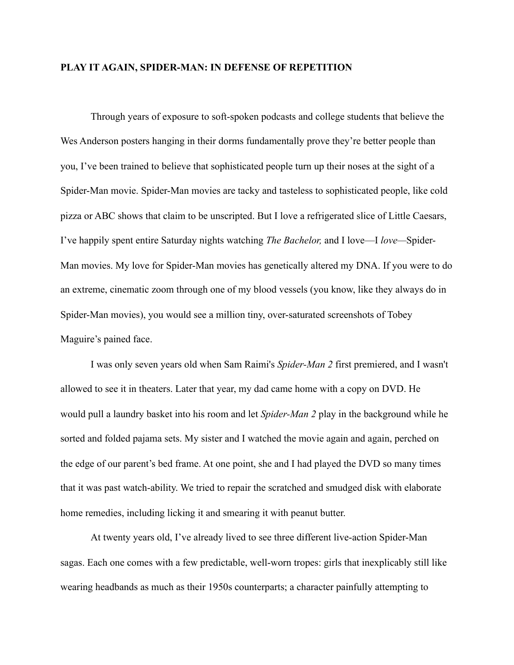## **PLAY IT AGAIN, SPIDER-MAN: IN DEFENSE OF REPETITION**

 Through years of exposure to soft-spoken podcasts and college students that believe the Wes Anderson posters hanging in their dorms fundamentally prove they're better people than you, I've been trained to believe that sophisticated people turn up their noses at the sight of a Spider-Man movie. Spider-Man movies are tacky and tasteless to sophisticated people, like cold pizza or ABC shows that claim to be unscripted. But I love a refrigerated slice of Little Caesars, I've happily spent entire Saturday nights watching *The Bachelor,* and I love—I *love—*Spider-Man movies. My love for Spider-Man movies has genetically altered my DNA. If you were to do an extreme, cinematic zoom through one of my blood vessels (you know, like they always do in Spider-Man movies), you would see a million tiny, over-saturated screenshots of Tobey Maguire's pained face.

 I was only seven years old when Sam Raimi's *Spider-Man 2* first premiered, and I wasn't allowed to see it in theaters. Later that year, my dad came home with a copy on DVD. He would pull a laundry basket into his room and let *Spider-Man 2* play in the background while he sorted and folded pajama sets. My sister and I watched the movie again and again, perched on the edge of our parent's bed frame. At one point, she and I had played the DVD so many times that it was past watch-ability. We tried to repair the scratched and smudged disk with elaborate home remedies, including licking it and smearing it with peanut butter.

 At twenty years old, I've already lived to see three different live-action Spider-Man sagas. Each one comes with a few predictable, well-worn tropes: girls that inexplicably still like wearing headbands as much as their 1950s counterparts; a character painfully attempting to